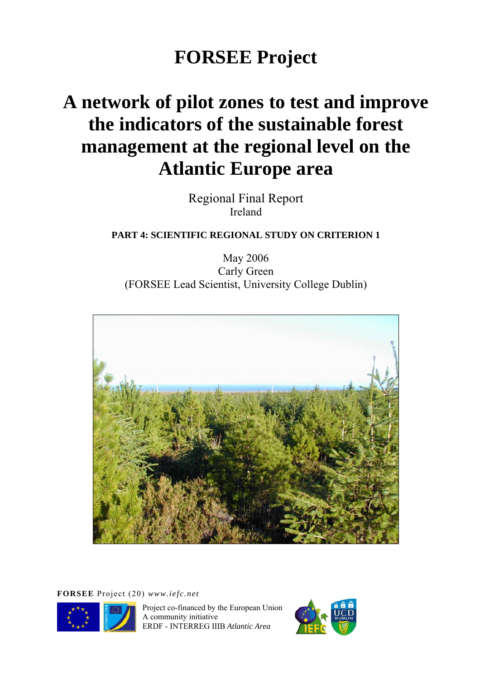# **FORSEE Project**

# **A network of pilot zones to test and improve the indicators of the sustainable forest management at the regional level on the Atlantic Europe area**

Regional Final Report Ireland

### **PART 4: SCIENTIFIC REGIONAL STUDY ON CRITERION 1**

May 2006 Carly Green (FORSEE Lead Scientist, University College Dublin)



**FORSEE** Project (20) *www.iefc.net* 



Project co-financed by the European Union A community initiative ERDF - INTERREG IIIB *Atlantic Area* 

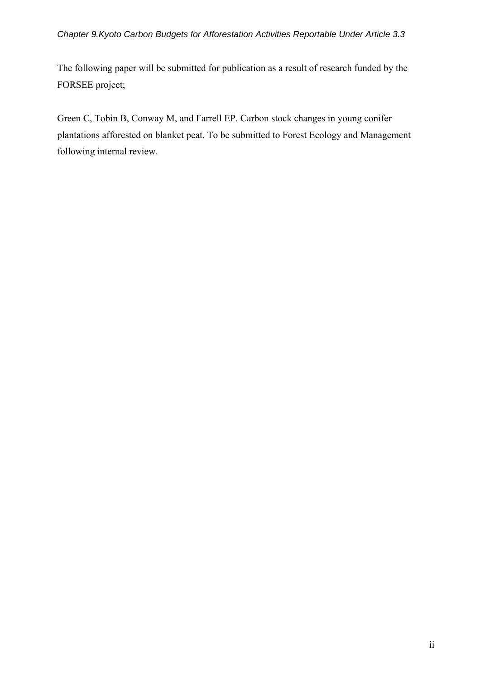### *Chapter 9.Kyoto Carbon Budgets for Afforestation Activities Reportable Under Article 3.3*

The following paper will be submitted for publication as a result of research funded by the FORSEE project;

Green C, Tobin B, Conway M, and Farrell EP. Carbon stock changes in young conifer plantations afforested on blanket peat. To be submitted to Forest Ecology and Management following internal review.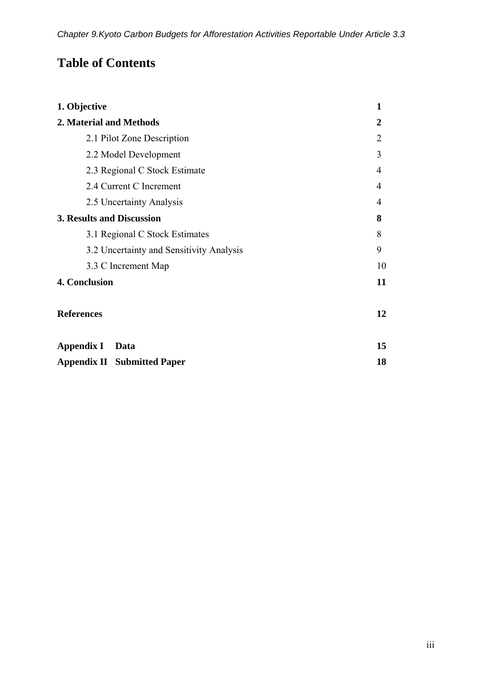## **Table of Contents**

| 1. Objective                             | $\mathbf{1}$   |
|------------------------------------------|----------------|
| 2. Material and Methods                  | $\overline{2}$ |
| 2.1 Pilot Zone Description               | $\overline{2}$ |
| 2.2 Model Development                    | 3              |
| 2.3 Regional C Stock Estimate            | $\overline{4}$ |
| 2.4 Current C Increment                  | $\overline{4}$ |
| 2.5 Uncertainty Analysis                 | $\overline{4}$ |
| 3. Results and Discussion                | 8              |
| 3.1 Regional C Stock Estimates           | 8              |
| 3.2 Uncertainty and Sensitivity Analysis | 9              |
| 3.3 C Increment Map                      | 10             |
| 4. Conclusion                            | 11             |
| <b>References</b>                        | 12             |
| <b>Appendix I</b><br><b>Data</b>         | 15             |
| <b>Appendix II Submitted Paper</b>       | 18             |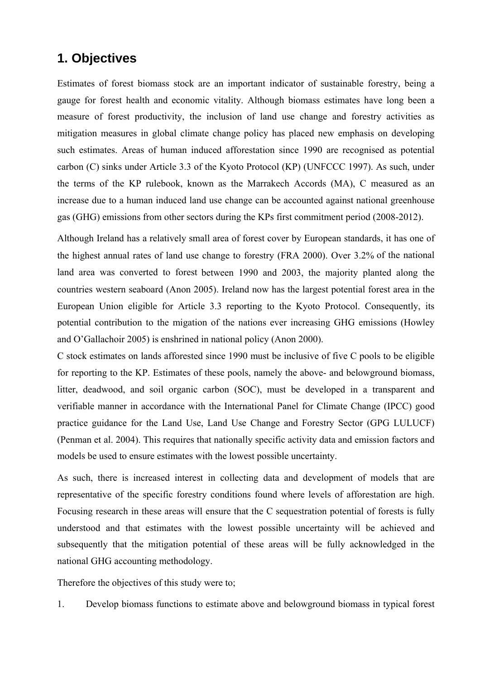### **1. Objectives**

Estimates of forest biomass stock are an important indicator of sustainable forestry, being a gauge for forest health and economic vitality. Although biomass estimates have long been a measure of forest productivity, the inclusion of land use change and forestry activities as mitigation measures in global climate change policy has placed new emphasis on developing such estimates. Areas of human induced afforestation since 1990 are recognised as potential carbon (C) sinks under Article 3.3 of the Kyoto Protocol (KP) (UNFCCC 1997). As such, under the terms of the KP rulebook, known as the Marrakech Accords (MA), C measured as an increase due to a human induced land use change can be accounted against national greenhouse gas (GHG) emissions from other sectors during the KPs first commitment period (2008-2012).

Although Ireland has a relatively small area of forest cover by European standards, it has one of the highest annual rates of land use change to forestry (FRA 2000). Over 3.2% of the national land area was converted to forest between 1990 and 2003, the majority planted along the countries western seaboard (Anon 2005). Ireland now has the largest potential forest area in the European Union eligible for Article 3.3 reporting to the Kyoto Protocol. Consequently, its potential contribution to the migation of the nations ever increasing GHG emissions (Howley and O'Gallachoir 2005) is enshrined in national policy (Anon 2000).

C stock estimates on lands afforested since 1990 must be inclusive of five C pools to be eligible for reporting to the KP. Estimates of these pools, namely the above- and belowground biomass, litter, deadwood, and soil organic carbon (SOC), must be developed in a transparent and verifiable manner in accordance with the International Panel for Climate Change (IPCC) good practice guidance for the Land Use, Land Use Change and Forestry Sector (GPG LULUCF) (Penman et al. 2004). This requires that nationally specific activity data and emission factors and models be used to ensure estimates with the lowest possible uncertainty.

As such, there is increased interest in collecting data and development of models that are representative of the specific forestry conditions found where levels of afforestation are high. Focusing research in these areas will ensure that the C sequestration potential of forests is fully understood and that estimates with the lowest possible uncertainty will be achieved and subsequently that the mitigation potential of these areas will be fully acknowledged in the national GHG accounting methodology.

Therefore the objectives of this study were to;

1. Develop biomass functions to estimate above and belowground biomass in typical forest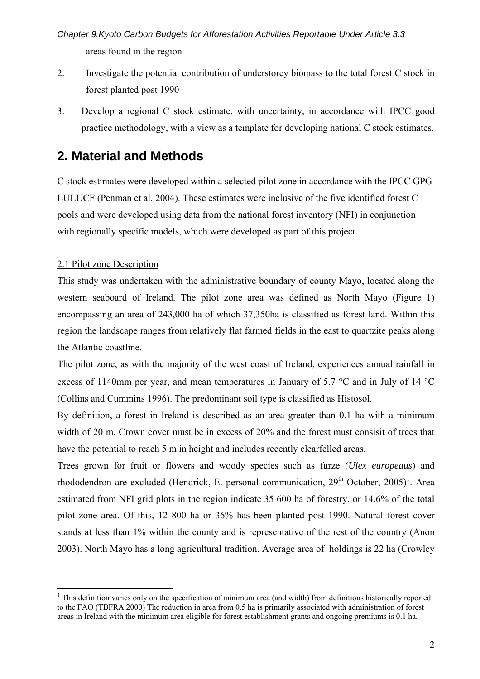*Chapter 9.Kyoto Carbon Budgets for Afforestation Activities Reportable Under Article 3.3*  areas found in the region

- 2. Investigate the potential contribution of understorey biomass to the total forest C stock in forest planted post 1990
- 3. Develop a regional C stock estimate, with uncertainty, in accordance with IPCC good practice methodology, with a view as a template for developing national C stock estimates.

### **2. Material and Methods**

C stock estimates were developed within a selected pilot zone in accordance with the IPCC GPG LULUCF (Penman et al. 2004). These estimates were inclusive of the five identified forest C pools and were developed using data from the national forest inventory (NFI) in conjunction with regionally specific models, which were developed as part of this project.

### 2.1 Pilot zone Description

 $\overline{a}$ 

This study was undertaken with the administrative boundary of county Mayo, located along the western seaboard of Ireland. The pilot zone area was defined as North Mayo (Figure 1) encompassing an area of 243,000 ha of which 37,350ha is classified as forest land. Within this region the landscape ranges from relatively flat farmed fields in the east to quartzite peaks along the Atlantic coastline.

The pilot zone, as with the majority of the west coast of Ireland, experiences annual rainfall in excess of 1140mm per year, and mean temperatures in January of 5.7 °C and in July of 14 °C (Collins and Cummins 1996). The predominant soil type is classified as Histosol.

By definition, a forest in Ireland is described as an area greater than 0.1 ha with a minimum width of 20 m. Crown cover must be in excess of 20% and the forest must consisit of trees that have the potential to reach 5 m in height and includes recently clearfelled areas.

Trees grown for fruit or flowers and woody species such as furze (*Ulex europeaus*) and rhododendron are excluded (Hendrick, E. personal communication, 29<sup>th</sup> October, 2005)<sup>1</sup>. Area estimated from NFI grid plots in the region indicate 35 600 ha of forestry, or 14.6% of the total pilot zone area. Of this, 12 800 ha or 36% has been planted post 1990. Natural forest cover stands at less than 1% within the county and is representative of the rest of the country (Anon 2003). North Mayo has a long agricultural tradition. Average area of holdings is 22 ha (Crowley

 $1$  This definition varies only on the specification of minimum area (and width) from definitions historically reported to the FAO (TBFRA 2000) The reduction in area from 0.5 ha is primarily associated with administration of forest areas in Ireland with the minimum area eligible for forest establishment grants and ongoing premiums is 0.1 ha.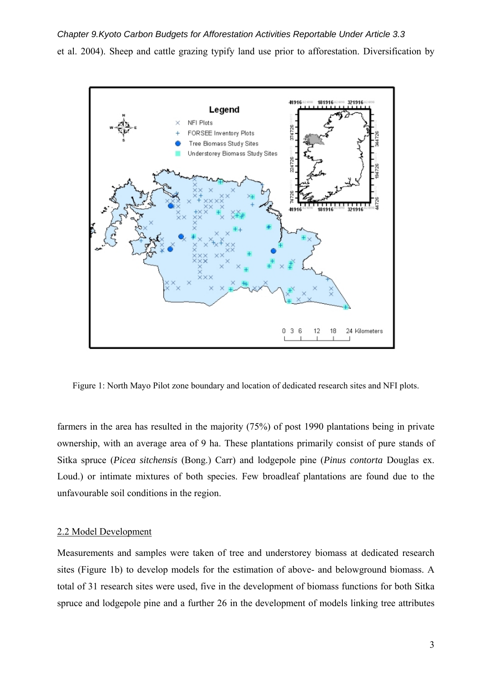*Chapter 9.Kyoto Carbon Budgets for Afforestation Activities Reportable Under Article 3.3*  et al. 2004). Sheep and cattle grazing typify land use prior to afforestation. Diversification by



Figure 1: North Mayo Pilot zone boundary and location of dedicated research sites and NFI plots.

farmers in the area has resulted in the majority (75%) of post 1990 plantations being in private ownership, with an average area of 9 ha. These plantations primarily consist of pure stands of Sitka spruce (*Picea sitchensis* (Bong.) Carr) and lodgepole pine (*Pinus contorta* Douglas ex. Loud.) or intimate mixtures of both species. Few broadleaf plantations are found due to the unfavourable soil conditions in the region.

### 2.2 Model Development

Measurements and samples were taken of tree and understorey biomass at dedicated research sites (Figure 1b) to develop models for the estimation of above- and belowground biomass. A total of 31 research sites were used, five in the development of biomass functions for both Sitka spruce and lodgepole pine and a further 26 in the development of models linking tree attributes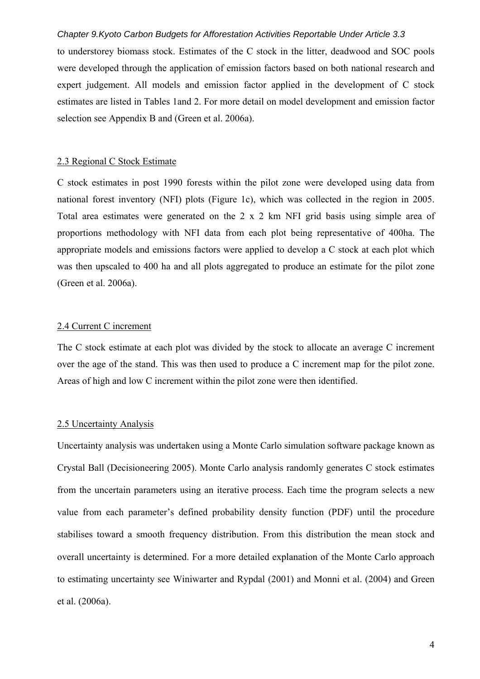### *Chapter 9.Kyoto Carbon Budgets for Afforestation Activities Reportable Under Article 3.3*

to understorey biomass stock. Estimates of the C stock in the litter, deadwood and SOC pools were developed through the application of emission factors based on both national research and expert judgement. All models and emission factor applied in the development of C stock estimates are listed in Tables 1and 2. For more detail on model development and emission factor selection see Appendix B and (Green et al. 2006a).

### 2.3 Regional C Stock Estimate

C stock estimates in post 1990 forests within the pilot zone were developed using data from national forest inventory (NFI) plots (Figure 1c), which was collected in the region in 2005. Total area estimates were generated on the 2 x 2 km NFI grid basis using simple area of proportions methodology with NFI data from each plot being representative of 400ha. The appropriate models and emissions factors were applied to develop a C stock at each plot which was then upscaled to 400 ha and all plots aggregated to produce an estimate for the pilot zone (Green et al. 2006a).

### 2.4 Current C increment

The C stock estimate at each plot was divided by the stock to allocate an average C increment over the age of the stand. This was then used to produce a C increment map for the pilot zone. Areas of high and low C increment within the pilot zone were then identified.

### 2.5 Uncertainty Analysis

Uncertainty analysis was undertaken using a Monte Carlo simulation software package known as Crystal Ball (Decisioneering 2005). Monte Carlo analysis randomly generates C stock estimates from the uncertain parameters using an iterative process. Each time the program selects a new value from each parameter's defined probability density function (PDF) until the procedure stabilises toward a smooth frequency distribution. From this distribution the mean stock and overall uncertainty is determined. For a more detailed explanation of the Monte Carlo approach to estimating uncertainty see Winiwarter and Rypdal (2001) and Monni et al. (2004) and Green et al. (2006a).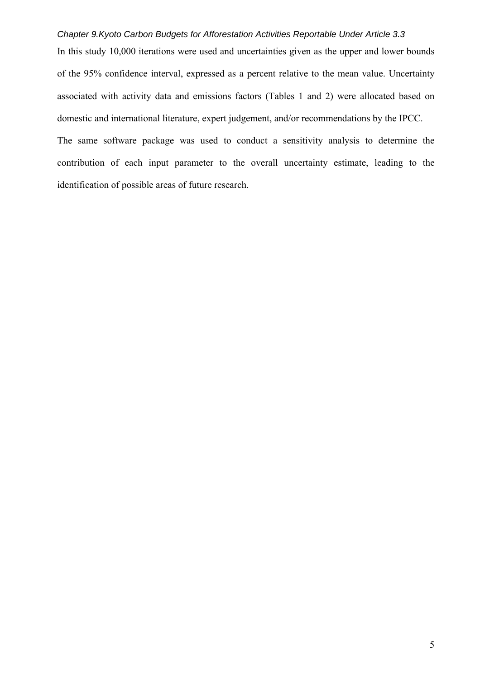### *Chapter 9.Kyoto Carbon Budgets for Afforestation Activities Reportable Under Article 3.3*

In this study 10,000 iterations were used and uncertainties given as the upper and lower bounds of the 95% confidence interval, expressed as a percent relative to the mean value. Uncertainty associated with activity data and emissions factors (Tables 1 and 2) were allocated based on domestic and international literature, expert judgement, and/or recommendations by the IPCC.

The same software package was used to conduct a sensitivity analysis to determine the contribution of each input parameter to the overall uncertainty estimate, leading to the identification of possible areas of future research.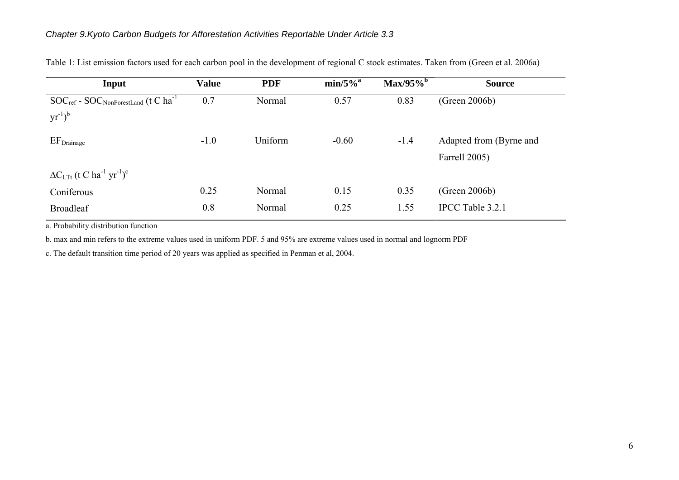| Input                                                                                         | <b>Value</b> | <b>PDF</b> | $min/5\%$ <sup>a</sup> | $Max/95\%$ <sup>b</sup> | <b>Source</b>           |
|-----------------------------------------------------------------------------------------------|--------------|------------|------------------------|-------------------------|-------------------------|
| $\mathrm{SOC}_{\mathrm{ref}}$ - $\mathrm{SOC}_{\mathrm{NonForestLand}}$ (t C ha <sup>-1</sup> | 0.7          | Normal     | 0.57                   | 0.83                    | (Green 2006b)           |
| $yr^{-1})^b$                                                                                  |              |            |                        |                         |                         |
| $EF_{Drainage}$                                                                               | $-1.0$       | Uniform    | $-0.60$                | $-1.4$                  | Adapted from (Byrne and |
|                                                                                               |              |            |                        |                         | Farrell 2005)           |
| $\Delta C$ <sub>LTt</sub> (t C ha <sup>-1</sup> yr <sup>-1</sup> ) <sup>c</sup>               |              |            |                        |                         |                         |
| Coniferous                                                                                    | 0.25         | Normal     | 0.15                   | 0.35                    | (Green 2006b)           |
| <b>Broadleaf</b>                                                                              | 0.8          | Normal     | 0.25                   | 1.55                    | IPCC Table 3.2.1        |

Table 1: List emission factors used for each carbon pool in the development of regional C stock estimates. Taken from (Green et al. 2006a)

a. Probability distribution function

b. max and min refers to the extreme values used in uniform PDF. 5 and 95% are extreme values used in normal and lognorm PDF

c. The default transition time period of 20 years was applied as specified in Penman et al, 2004.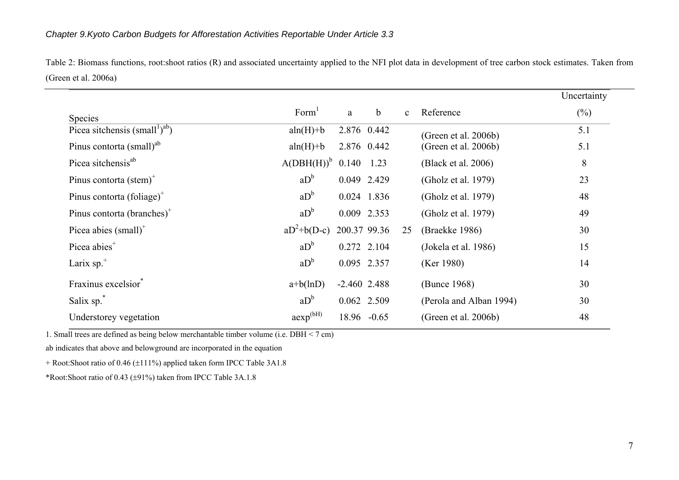Table 2: Biomass functions, root:shoot ratios (R) and associated uncertainty applied to the NFI plot data in development of tree carbon stock estimates. Taken from (Green et al. 2006a)

|                                                        |                          |                |              |              |                         | Uncertainty |
|--------------------------------------------------------|--------------------------|----------------|--------------|--------------|-------------------------|-------------|
| Species                                                | Form <sup>1</sup>        | a              | $\mathbf b$  | $\mathbf{c}$ | Reference               | $(\%)$      |
| Picea sitchensis (small <sup>1</sup> ) <sup>ab</sup> ) | $aln(H)+b$               |                | 2.876 0.442  |              | (Green et al. 2006b)    | 5.1         |
| Pinus contorta (small) <sup>ab</sup>                   | $aln(H)+b$               |                | 2.876 0.442  |              | (Green et al. 2006b)    | 5.1         |
| Picea sitchensis <sup>ab</sup>                         | $A(DBH(H))$ <sup>b</sup> | 0.140          | 1.23         |              | (Black et al. 2006)     | 8           |
| Pinus contorta $(\text{stem})^+$                       | $aD^b$                   |                | 0.049 2.429  |              | (Gholz et al. 1979)     | 23          |
| Pinus contorta (foliage) <sup>+</sup>                  | $aD^b$                   |                | 0.024 1.836  |              | (Gholz et al. 1979)     | 48          |
| Pinus contorta (branches) <sup>+</sup>                 | $aD^b$                   |                | 0.009 2.353  |              | (Gholz et al. 1979)     | 49          |
| Picea abies $(small)$ <sup>+</sup>                     | $aD^2+b(D-c)$            |                | 200.37 99.36 | 25           | (Braekke 1986)          | 30          |
| Picea abies <sup>+</sup>                               | $aD^b$                   |                | 0.272 2.104  |              | (Jokela et al. 1986)    | 15          |
| Larix $sp.$ <sup>+</sup>                               | $aD^b$                   |                | 0.095 2.357  |              | (Ker 1980)              | 14          |
| Fraxinus excelsior*                                    | $a+b(lnD)$               | $-2.460$ 2.488 |              |              | (Bunce 1968)            | 30          |
| Salix sp.                                              | $aD^b$                   |                | 0.062 2.509  |              | (Perola and Alban 1994) | 30          |
| Understorey vegetation                                 | $aexp^{(bH)}$            |                | 18.96 -0.65  |              | (Green et al. 2006b)    | 48          |

1. Small trees are defined as being below merchantable timber volume (i.e.  $DBH < 7$  cm)

ab indicates that above and belowground are incorporated in the equation

+ Root:Shoot ratio of 0.46 ( <sup>±</sup>111%) applied taken form IPCC Table 3A1.8

\*Root:Shoot ratio of 0.43 ( ±91%) taken from IPCC Table 3A.1.8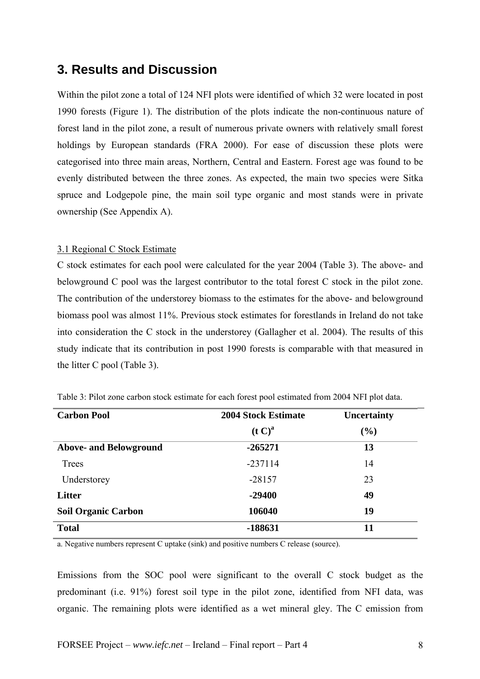### **3. Results and Discussion**

Within the pilot zone a total of 124 NFI plots were identified of which 32 were located in post 1990 forests (Figure 1). The distribution of the plots indicate the non-continuous nature of forest land in the pilot zone, a result of numerous private owners with relatively small forest holdings by European standards (FRA 2000). For ease of discussion these plots were categorised into three main areas, Northern, Central and Eastern. Forest age was found to be evenly distributed between the three zones. As expected, the main two species were Sitka spruce and Lodgepole pine, the main soil type organic and most stands were in private ownership (See Appendix A).

### 3.1 Regional C Stock Estimate

C stock estimates for each pool were calculated for the year 2004 (Table 3). The above- and belowground C pool was the largest contributor to the total forest C stock in the pilot zone. The contribution of the understorey biomass to the estimates for the above- and belowground biomass pool was almost 11%. Previous stock estimates for forestlands in Ireland do not take into consideration the C stock in the understorey (Gallagher et al. 2004). The results of this study indicate that its contribution in post 1990 forests is comparable with that measured in the litter C pool (Table 3).

| <b>Carbon Pool</b>            | <b>2004 Stock Estimate</b> | <b>Uncertainty</b> |
|-------------------------------|----------------------------|--------------------|
|                               | (t C) <sup>a</sup>         | $(\%)$             |
| <b>Above- and Belowground</b> | $-265271$                  | 13                 |
| Trees                         | $-237114$                  | 14                 |
| Understorey                   | $-28157$                   | 23                 |
| <b>Litter</b>                 | $-29400$                   | 49                 |
| <b>Soil Organic Carbon</b>    | 106040                     | 19                 |
| <b>Total</b>                  | -188631                    | 11                 |

Table 3: Pilot zone carbon stock estimate for each forest pool estimated from 2004 NFI plot data.

a. Negative numbers represent C uptake (sink) and positive numbers C release (source).

Emissions from the SOC pool were significant to the overall C stock budget as the predominant (i.e. 91%) forest soil type in the pilot zone, identified from NFI data, was organic. The remaining plots were identified as a wet mineral gley. The C emission from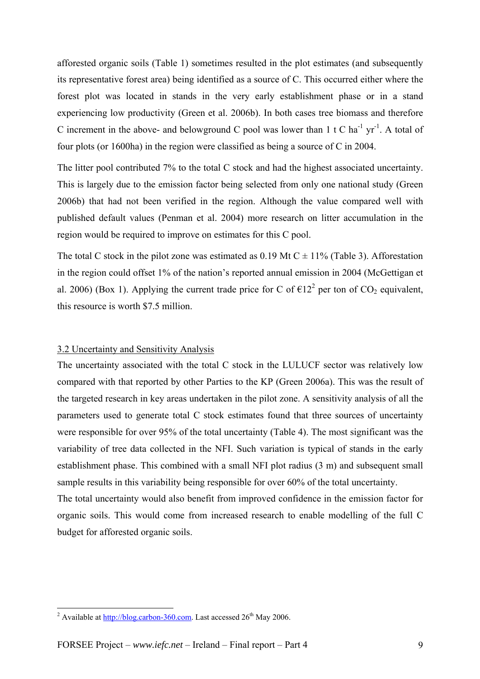afforested organic soils (Table 1) sometimes resulted in the plot estimates (and subsequently its representative forest area) being identified as a source of C. This occurred either where the forest plot was located in stands in the very early establishment phase or in a stand experiencing low productivity (Green et al. 2006b). In both cases tree biomass and therefore C increment in the above- and belowground C pool was lower than  $1 \text{ t C}$  ha<sup>-1</sup> yr<sup>-1</sup>. A total of four plots (or 1600ha) in the region were classified as being a source of C in 2004.

The litter pool contributed 7% to the total C stock and had the highest associated uncertainty. This is largely due to the emission factor being selected from only one national study (Green 2006b) that had not been verified in the region. Although the value compared well with published default values (Penman et al. 2004) more research on litter accumulation in the region would be required to improve on estimates for this C pool.

The total C stock in the pilot zone was estimated as 0.19 Mt C  $\pm$  11% (Table 3). Afforestation in the region could offset 1% of the nation's reported annual emission in 2004 (McGettigan et al. 2006) (Box 1). Applying the current trade price for C of  $\epsilon 12^2$  per ton of CO<sub>2</sub> equivalent, this resource is worth \$7.5 million.

### 3.2 Uncertainty and Sensitivity Analysis

The uncertainty associated with the total C stock in the LULUCF sector was relatively low compared with that reported by other Parties to the KP (Green 2006a). This was the result of the targeted research in key areas undertaken in the pilot zone. A sensitivity analysis of all the parameters used to generate total C stock estimates found that three sources of uncertainty were responsible for over 95% of the total uncertainty (Table 4). The most significant was the variability of tree data collected in the NFI. Such variation is typical of stands in the early establishment phase. This combined with a small NFI plot radius (3 m) and subsequent small sample results in this variability being responsible for over 60% of the total uncertainty.

The total uncertainty would also benefit from improved confidence in the emission factor for organic soils. This would come from increased research to enable modelling of the full C budget for afforested organic soils.

<sup>&</sup>lt;sup>2</sup> Available at  $\frac{http://blog.carbon-360.com}{http://blog.carbon-360.com}$ . Last accessed 26<sup>th</sup> May 2006.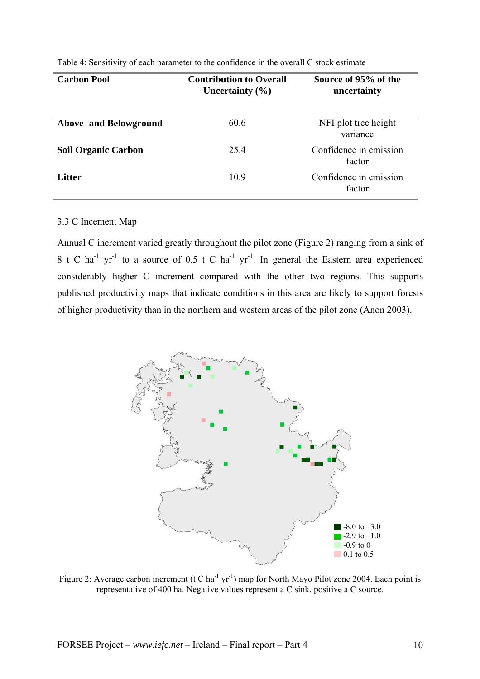| <b>Carbon Pool</b>            | <b>Contribution to Overall</b><br>Uncertainty $(\% )$ | Source of 95% of the<br>uncertainty |
|-------------------------------|-------------------------------------------------------|-------------------------------------|
| <b>Above- and Belowground</b> | 60.6                                                  | NFI plot tree height<br>variance    |
| <b>Soil Organic Carbon</b>    | 25.4                                                  | Confidence in emission<br>factor    |
| <b>Litter</b>                 | 10.9                                                  | Confidence in emission<br>factor    |

Table 4: Sensitivity of each parameter to the confidence in the overall C stock estimate

### 3.3 C Incement Map

Annual C increment varied greatly throughout the pilot zone (Figure 2) ranging from a sink of 8 t C ha<sup>-1</sup> yr<sup>-1</sup> to a source of 0.5 t C ha<sup>-1</sup> yr<sup>-1</sup>. In general the Eastern area experienced considerably higher C increment compared with the other two regions. This supports published productivity maps that indicate conditions in this area are likely to support forests of higher productivity than in the northern and western areas of the pilot zone (Anon 2003).



Figure 2: Average carbon increment (t C ha<sup>-1</sup> yr<sup>-1</sup>) map for North Mayo Pilot zone 2004. Each point is representative of 400 ha. Negative values represent a C sink, positive a C source.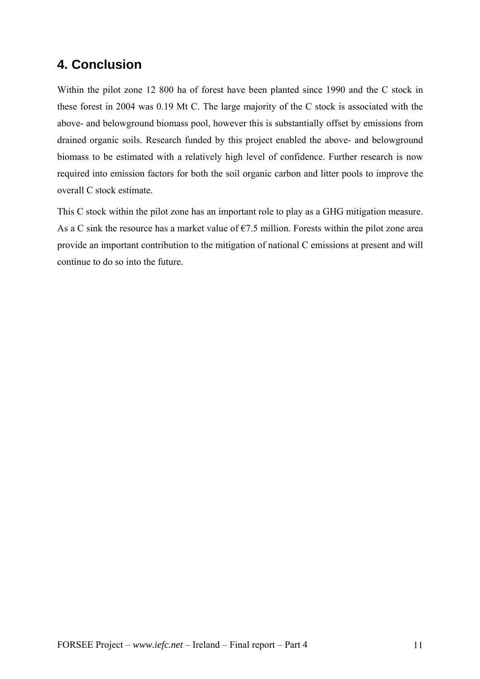### **4. Conclusion**

Within the pilot zone 12 800 ha of forest have been planted since 1990 and the C stock in these forest in 2004 was 0.19 Mt C. The large majority of the C stock is associated with the above- and belowground biomass pool, however this is substantially offset by emissions from drained organic soils. Research funded by this project enabled the above- and belowground biomass to be estimated with a relatively high level of confidence. Further research is now required into emission factors for both the soil organic carbon and litter pools to improve the overall C stock estimate.

This C stock within the pilot zone has an important role to play as a GHG mitigation measure. As a C sink the resource has a market value of  $\epsilon$ 7.5 million. Forests within the pilot zone area provide an important contribution to the mitigation of national C emissions at present and will continue to do so into the future.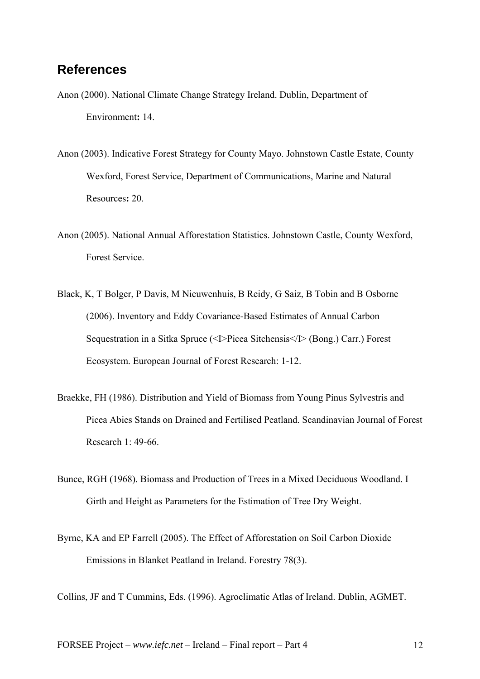### **References**

- Anon (2000). National Climate Change Strategy Ireland. Dublin, Department of Environment**:** 14.
- Anon (2003). Indicative Forest Strategy for County Mayo. Johnstown Castle Estate, County Wexford, Forest Service, Department of Communications, Marine and Natural Resources**:** 20.
- Anon (2005). National Annual Afforestation Statistics. Johnstown Castle, County Wexford, Forest Service.
- Black, K, T Bolger, P Davis, M Nieuwenhuis, B Reidy, G Saiz, B Tobin and B Osborne (2006). Inventory and Eddy Covariance-Based Estimates of Annual Carbon Sequestration in a Sitka Spruce (<I>Picea Sitchensis</I> (Bong.) Carr.) Forest Ecosystem. European Journal of Forest Research: 1-12.
- Braekke, FH (1986). Distribution and Yield of Biomass from Young Pinus Sylvestris and Picea Abies Stands on Drained and Fertilised Peatland. Scandinavian Journal of Forest Research 1: 49-66.
- Bunce, RGH (1968). Biomass and Production of Trees in a Mixed Deciduous Woodland. I Girth and Height as Parameters for the Estimation of Tree Dry Weight.
- Byrne, KA and EP Farrell (2005). The Effect of Afforestation on Soil Carbon Dioxide Emissions in Blanket Peatland in Ireland. Forestry 78(3).

Collins, JF and T Cummins, Eds. (1996). Agroclimatic Atlas of Ireland. Dublin, AGMET.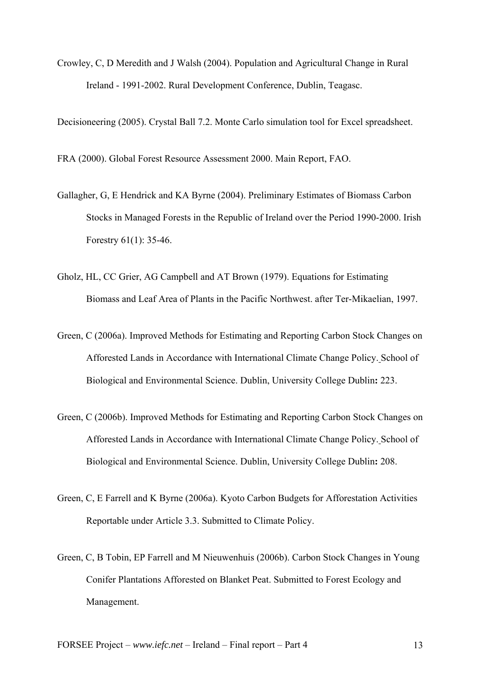Crowley, C, D Meredith and J Walsh (2004). Population and Agricultural Change in Rural Ireland - 1991-2002. Rural Development Conference, Dublin, Teagasc.

Decisioneering (2005). Crystal Ball 7.2. Monte Carlo simulation tool for Excel spreadsheet.

FRA (2000). Global Forest Resource Assessment 2000. Main Report, FAO.

- Gallagher, G, E Hendrick and KA Byrne (2004). Preliminary Estimates of Biomass Carbon Stocks in Managed Forests in the Republic of Ireland over the Period 1990-2000. Irish Forestry 61(1): 35-46.
- Gholz, HL, CC Grier, AG Campbell and AT Brown (1979). Equations for Estimating Biomass and Leaf Area of Plants in the Pacific Northwest. after Ter-Mikaelian, 1997.
- Green, C (2006a). Improved Methods for Estimating and Reporting Carbon Stock Changes on Afforested Lands in Accordance with International Climate Change Policy. School of Biological and Environmental Science. Dublin, University College Dublin**:** 223.
- Green, C (2006b). Improved Methods for Estimating and Reporting Carbon Stock Changes on Afforested Lands in Accordance with International Climate Change Policy. School of Biological and Environmental Science. Dublin, University College Dublin**:** 208.
- Green, C, E Farrell and K Byrne (2006a). Kyoto Carbon Budgets for Afforestation Activities Reportable under Article 3.3. Submitted to Climate Policy.
- Green, C, B Tobin, EP Farrell and M Nieuwenhuis (2006b). Carbon Stock Changes in Young Conifer Plantations Afforested on Blanket Peat. Submitted to Forest Ecology and Management.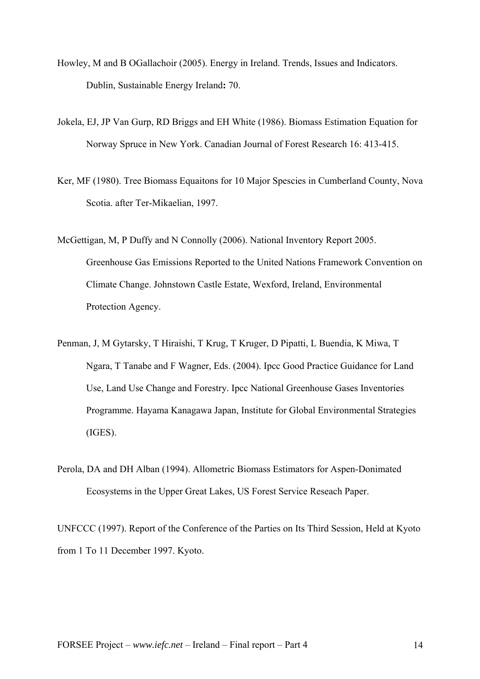- Howley, M and B OGallachoir (2005). Energy in Ireland. Trends, Issues and Indicators. Dublin, Sustainable Energy Ireland**:** 70.
- Jokela, EJ, JP Van Gurp, RD Briggs and EH White (1986). Biomass Estimation Equation for Norway Spruce in New York. Canadian Journal of Forest Research 16: 413-415.
- Ker, MF (1980). Tree Biomass Equaitons for 10 Major Spescies in Cumberland County, Nova Scotia. after Ter-Mikaelian, 1997.
- McGettigan, M, P Duffy and N Connolly (2006). National Inventory Report 2005. Greenhouse Gas Emissions Reported to the United Nations Framework Convention on Climate Change. Johnstown Castle Estate, Wexford, Ireland, Environmental Protection Agency.
- Penman, J, M Gytarsky, T Hiraishi, T Krug, T Kruger, D Pipatti, L Buendia, K Miwa, T Ngara, T Tanabe and F Wagner, Eds. (2004). Ipcc Good Practice Guidance for Land Use, Land Use Change and Forestry. Ipcc National Greenhouse Gases Inventories Programme. Hayama Kanagawa Japan, Institute for Global Environmental Strategies (IGES).
- Perola, DA and DH Alban (1994). Allometric Biomass Estimators for Aspen-Donimated Ecosystems in the Upper Great Lakes, US Forest Service Reseach Paper.

UNFCCC (1997). Report of the Conference of the Parties on Its Third Session, Held at Kyoto from 1 To 11 December 1997. Kyoto.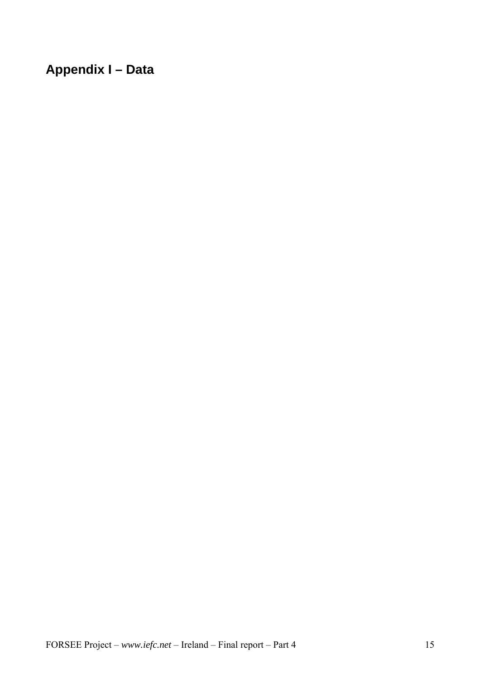## **Appendix I – Data**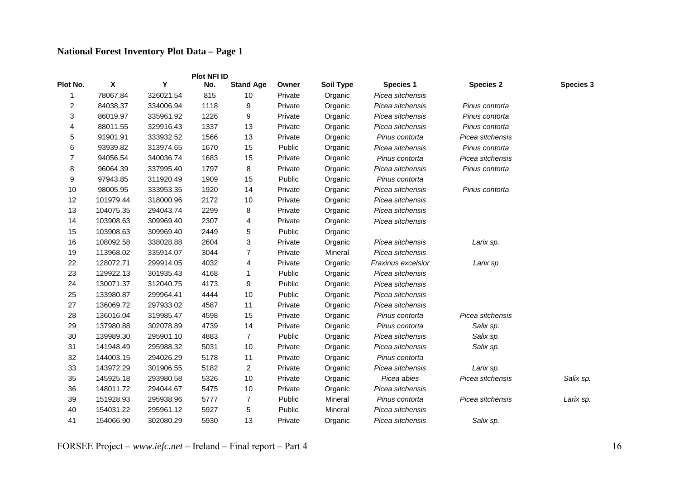### **National Forest Inventory Plot Data – Page 1**

|                         |                    |           | <b>Plot NFI ID</b> |                  |         |                  |                    |                  |                  |
|-------------------------|--------------------|-----------|--------------------|------------------|---------|------------------|--------------------|------------------|------------------|
| Plot No.                | $\pmb{\mathsf{X}}$ | Υ         | No.                | <b>Stand Age</b> | Owner   | <b>Soil Type</b> | <b>Species 1</b>   | <b>Species 2</b> | <b>Species 3</b> |
|                         | 78067.84           | 326021.54 | 815                | 10               | Private | Organic          | Picea sitchensis   |                  |                  |
| $\overline{\mathbf{c}}$ | 84038.37           | 334006.94 | 1118               | 9                | Private | Organic          | Picea sitchensis   | Pinus contorta   |                  |
| 3                       | 86019.97           | 335961.92 | 1226               | 9                | Private | Organic          | Picea sitchensis   | Pinus contorta   |                  |
| 4                       | 88011.55           | 329916.43 | 1337               | 13               | Private | Organic          | Picea sitchensis   | Pinus contorta   |                  |
| 5                       | 91901.91           | 333932.52 | 1566               | 13               | Private | Organic          | Pinus contorta     | Picea sitchensis |                  |
| 6                       | 93939.82           | 313974.65 | 1670               | 15               | Public  | Organic          | Picea sitchensis   | Pinus contorta   |                  |
| 7                       | 94056.54           | 340036.74 | 1683               | 15               | Private | Organic          | Pinus contorta     | Picea sitchensis |                  |
| 8                       | 96064.39           | 337995.40 | 1797               | 8                | Private | Organic          | Picea sitchensis   | Pinus contorta   |                  |
| 9                       | 97943.85           | 311920.49 | 1909               | 15               | Public  | Organic          | Pinus contorta     |                  |                  |
| 10                      | 98005.95           | 333953.35 | 1920               | 14               | Private | Organic          | Picea sitchensis   | Pinus contorta   |                  |
| 12                      | 101979.44          | 318000.96 | 2172               | 10               | Private | Organic          | Picea sitchensis   |                  |                  |
| 13                      | 104075.35          | 294043.74 | 2299               | 8                | Private | Organic          | Picea sitchensis   |                  |                  |
| 14                      | 103908.63          | 309969.40 | 2307               | 4                | Private | Organic          | Picea sitchensis   |                  |                  |
| 15                      | 103908.63          | 309969.40 | 2449               | 5                | Public  | Organic          |                    |                  |                  |
| 16                      | 108092.58          | 338028.88 | 2604               | 3                | Private | Organic          | Picea sitchensis   | Larix sp.        |                  |
| 19                      | 113968.02          | 335914.07 | 3044               | 7                | Private | Mineral          | Picea sitchensis   |                  |                  |
| 22                      | 128072.71          | 299914.05 | 4032               | 4                | Private | Organic          | Fraxinus excelsior | Larix sp         |                  |
| 23                      | 129922.13          | 301935.43 | 4168               | 1                | Public  | Organic          | Picea sitchensis   |                  |                  |
| 24                      | 130071.37          | 312040.75 | 4173               | 9                | Public  | Organic          | Picea sitchensis   |                  |                  |
| 25                      | 133980.87          | 299964.41 | 4444               | 10               | Public  | Organic          | Picea sitchensis   |                  |                  |
| 27                      | 136069.72          | 297933.02 | 4587               | 11               | Private | Organic          | Picea sitchensis   |                  |                  |
| 28                      | 136016.04          | 319985.47 | 4598               | 15               | Private | Organic          | Pinus contorta     | Picea sitchensis |                  |
| 29                      | 137980.88          | 302078.89 | 4739               | 14               | Private | Organic          | Pinus contorta     | Salix sp.        |                  |
| 30                      | 139989.30          | 295901.10 | 4883               | 7                | Public  | Organic          | Picea sitchensis   | Salix sp.        |                  |
| 31                      | 141948.49          | 295988.32 | 5031               | 10               | Private | Organic          | Picea sitchensis   | Salix sp.        |                  |
| 32                      | 144003.15          | 294026.29 | 5178               | 11               | Private | Organic          | Pinus contorta     |                  |                  |
| 33                      | 143972.29          | 301906.55 | 5182               | $\overline{c}$   | Private | Organic          | Picea sitchensis   | Larix sp.        |                  |
| 35                      | 145925.18          | 293980.58 | 5326               | 10               | Private | Organic          | Picea abies        | Picea sitchensis | Salix sp.        |
| 36                      | 148011.72          | 294044.67 | 5475               | 10               | Private | Organic          | Picea sitchensis   |                  |                  |
| 39                      | 151928.93          | 295938.96 | 5777               | 7                | Public  | Mineral          | Pinus contorta     | Picea sitchensis | Larix sp.        |
| 40                      | 154031.22          | 295961.12 | 5927               | 5                | Public  | Mineral          | Picea sitchensis   |                  |                  |
| 41                      | 154066.90          | 302080.29 | 5930               | 13               | Private | Organic          | Picea sitchensis   | Salix sp.        |                  |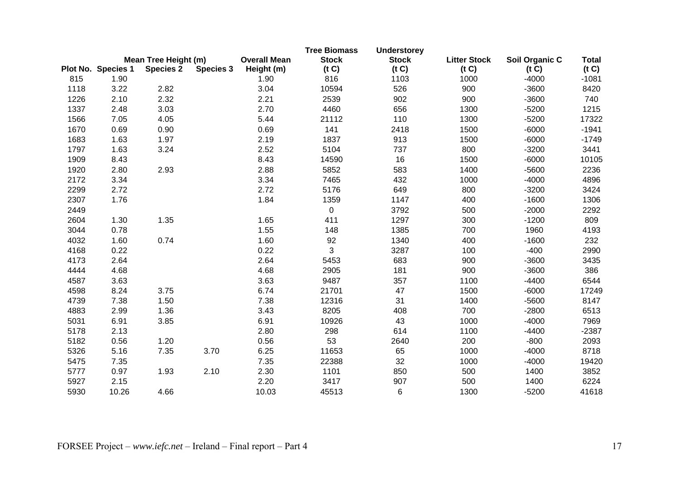|      |                    | Mean Tree Height (m) |                  | <b>Overall Mean</b> | <b>Tree Biomass</b><br><b>Stock</b> | <b>Understorey</b><br><b>Stock</b> | <b>Litter Stock</b> | Soil Organic C | <b>Total</b> |
|------|--------------------|----------------------|------------------|---------------------|-------------------------------------|------------------------------------|---------------------|----------------|--------------|
|      | Plot No. Species 1 | <b>Species 2</b>     | <b>Species 3</b> | Height (m)          | (t C)                               | (t C)                              | (t C)               | (t C)          | (t C)        |
| 815  | 1.90               |                      |                  | 1.90                | 816                                 | 1103                               | 1000                | $-4000$        | $-1081$      |
| 1118 | 3.22               | 2.82                 |                  | 3.04                | 10594                               | 526                                | 900                 | $-3600$        | 8420         |
| 1226 | 2.10               | 2.32                 |                  | 2.21                | 2539                                | 902                                | 900                 | $-3600$        | 740          |
| 1337 | 2.48               | 3.03                 |                  | 2.70                | 4460                                | 656                                | 1300                | $-5200$        | 1215         |
| 1566 | 7.05               | 4.05                 |                  | 5.44                | 21112                               | 110                                | 1300                | $-5200$        | 17322        |
| 1670 | 0.69               | 0.90                 |                  | 0.69                | 141                                 | 2418                               | 1500                | $-6000$        | $-1941$      |
| 1683 | 1.63               | 1.97                 |                  | 2.19                | 1837                                | 913                                | 1500                | $-6000$        | $-1749$      |
| 1797 | 1.63               | 3.24                 |                  | 2.52                | 5104                                | 737                                | 800                 | $-3200$        | 3441         |
| 1909 | 8.43               |                      |                  | 8.43                | 14590                               | 16                                 | 1500                | $-6000$        | 10105        |
| 1920 | 2.80               | 2.93                 |                  | 2.88                | 5852                                | 583                                | 1400                | $-5600$        | 2236         |
| 2172 | 3.34               |                      |                  | 3.34                | 7465                                | 432                                | 1000                | $-4000$        | 4896         |
| 2299 | 2.72               |                      |                  | 2.72                | 5176                                | 649                                | 800                 | $-3200$        | 3424         |
| 2307 | 1.76               |                      |                  | 1.84                | 1359                                | 1147                               | 400                 | $-1600$        | 1306         |
| 2449 |                    |                      |                  |                     | $\mathbf 0$                         | 3792                               | 500                 | $-2000$        | 2292         |
| 2604 | 1.30               | 1.35                 |                  | 1.65                | 411                                 | 1297                               | 300                 | $-1200$        | 809          |
| 3044 | 0.78               |                      |                  | 1.55                | 148                                 | 1385                               | 700                 | 1960           | 4193         |
| 4032 | 1.60               | 0.74                 |                  | 1.60                | 92                                  | 1340                               | 400                 | $-1600$        | 232          |
| 4168 | 0.22               |                      |                  | 0.22                | 3                                   | 3287                               | 100                 | $-400$         | 2990         |
| 4173 | 2.64               |                      |                  | 2.64                | 5453                                | 683                                | 900                 | $-3600$        | 3435         |
| 4444 | 4.68               |                      |                  | 4.68                | 2905                                | 181                                | 900                 | $-3600$        | 386          |
| 4587 | 3.63               |                      |                  | 3.63                | 9487                                | 357                                | 1100                | $-4400$        | 6544         |
| 4598 | 8.24               | 3.75                 |                  | 6.74                | 21701                               | 47                                 | 1500                | $-6000$        | 17249        |
| 4739 | 7.38               | 1.50                 |                  | 7.38                | 12316                               | 31                                 | 1400                | $-5600$        | 8147         |
| 4883 | 2.99               | 1.36                 |                  | 3.43                | 8205                                | 408                                | 700                 | $-2800$        | 6513         |
| 5031 | 6.91               | 3.85                 |                  | 6.91                | 10926                               | 43                                 | 1000                | $-4000$        | 7969         |
| 5178 | 2.13               |                      |                  | 2.80                | 298                                 | 614                                | 1100                | $-4400$        | $-2387$      |
| 5182 | 0.56               | 1.20                 |                  | 0.56                | 53                                  | 2640                               | 200                 | $-800$         | 2093         |
| 5326 | 5.16               | 7.35                 | 3.70             | 6.25                | 11653                               | 65                                 | 1000                | $-4000$        | 8718         |
| 5475 | 7.35               |                      |                  | 7.35                | 22388                               | 32                                 | 1000                | $-4000$        | 19420        |
| 5777 | 0.97               | 1.93                 | 2.10             | 2.30                | 1101                                | 850                                | 500                 | 1400           | 3852         |
| 5927 | 2.15               |                      |                  | 2.20                | 3417                                | 907                                | 500                 | 1400           | 6224         |
| 5930 | 10.26              | 4.66                 |                  | 10.03               | 45513                               | 6                                  | 1300                | $-5200$        | 41618        |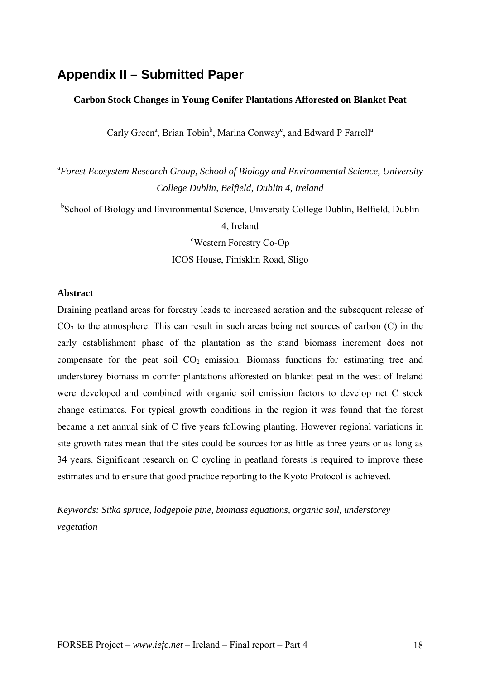### **Appendix II – Submitted Paper**

### **Carbon Stock Changes in Young Conifer Plantations Afforested on Blanket Peat**

Carly Green<sup>a</sup>, Brian Tobin<sup>b</sup>, Marina Conway<sup>c</sup>, and Edward P Farrell<sup>a</sup>

*a Forest Ecosystem Research Group, School of Biology and Environmental Science, University College Dublin, Belfield, Dublin 4, Ireland* 

<sup>b</sup>School of Biology and Environmental Science, University College Dublin, Belfield, Dublin 4, Ireland

<sup>c</sup>Western Forestry Co-Op

ICOS House, Finisklin Road, Sligo

### **Abstract**

Draining peatland areas for forestry leads to increased aeration and the subsequent release of  $CO<sub>2</sub>$  to the atmosphere. This can result in such areas being net sources of carbon  $(C)$  in the early establishment phase of the plantation as the stand biomass increment does not compensate for the peat soil  $CO<sub>2</sub>$  emission. Biomass functions for estimating tree and understorey biomass in conifer plantations afforested on blanket peat in the west of Ireland were developed and combined with organic soil emission factors to develop net C stock change estimates. For typical growth conditions in the region it was found that the forest became a net annual sink of C five years following planting. However regional variations in site growth rates mean that the sites could be sources for as little as three years or as long as 34 years. Significant research on C cycling in peatland forests is required to improve these estimates and to ensure that good practice reporting to the Kyoto Protocol is achieved.

*Keywords: Sitka spruce, lodgepole pine, biomass equations, organic soil, understorey vegetation*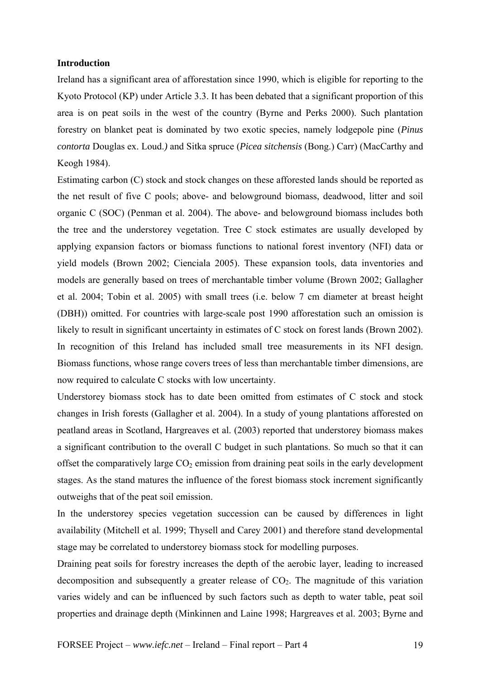### **Introduction**

Ireland has a significant area of afforestation since 1990, which is eligible for reporting to the Kyoto Protocol (KP) under Article 3.3. It has been debated that a significant proportion of this area is on peat soils in the west of the country (Byrne and Perks 2000). Such plantation forestry on blanket peat is dominated by two exotic species, namely lodgepole pine (*Pinus contorta* Douglas ex. Loud.*)* and Sitka spruce (*Picea sitchensis* (Bong.) Carr) (MacCarthy and Keogh 1984).

Estimating carbon (C) stock and stock changes on these afforested lands should be reported as the net result of five C pools; above- and belowground biomass, deadwood, litter and soil organic C (SOC) (Penman et al. 2004). The above- and belowground biomass includes both the tree and the understorey vegetation. Tree C stock estimates are usually developed by applying expansion factors or biomass functions to national forest inventory (NFI) data or yield models (Brown 2002; Cienciala 2005). These expansion tools, data inventories and models are generally based on trees of merchantable timber volume (Brown 2002; Gallagher et al. 2004; Tobin et al. 2005) with small trees (i.e. below 7 cm diameter at breast height (DBH)) omitted. For countries with large-scale post 1990 afforestation such an omission is likely to result in significant uncertainty in estimates of C stock on forest lands (Brown 2002). In recognition of this Ireland has included small tree measurements in its NFI design. Biomass functions, whose range covers trees of less than merchantable timber dimensions, are now required to calculate C stocks with low uncertainty.

Understorey biomass stock has to date been omitted from estimates of C stock and stock changes in Irish forests (Gallagher et al. 2004). In a study of young plantations afforested on peatland areas in Scotland, Hargreaves et al. (2003) reported that understorey biomass makes a significant contribution to the overall C budget in such plantations. So much so that it can offset the comparatively large  $CO<sub>2</sub>$  emission from draining peat soils in the early development stages. As the stand matures the influence of the forest biomass stock increment significantly outweighs that of the peat soil emission.

In the understorey species vegetation succession can be caused by differences in light availability (Mitchell et al. 1999; Thysell and Carey 2001) and therefore stand developmental stage may be correlated to understorey biomass stock for modelling purposes.

Draining peat soils for forestry increases the depth of the aerobic layer, leading to increased decomposition and subsequently a greater release of  $CO<sub>2</sub>$ . The magnitude of this variation varies widely and can be influenced by such factors such as depth to water table, peat soil properties and drainage depth (Minkinnen and Laine 1998; Hargreaves et al. 2003; Byrne and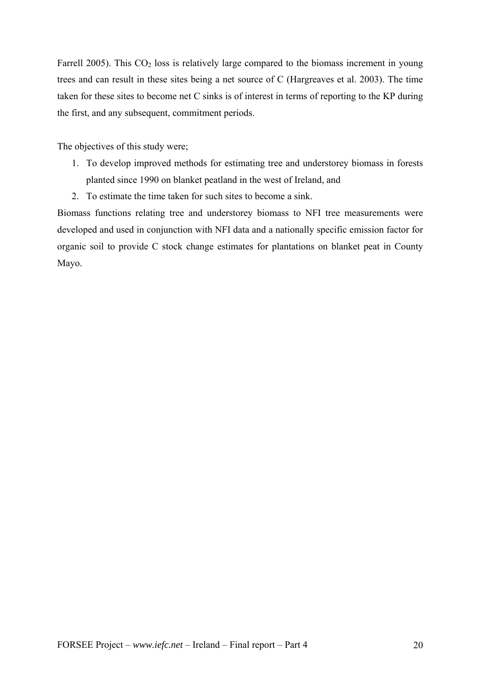Farrell 2005). This  $CO<sub>2</sub>$  loss is relatively large compared to the biomass increment in young trees and can result in these sites being a net source of C (Hargreaves et al. 2003). The time taken for these sites to become net C sinks is of interest in terms of reporting to the KP during the first, and any subsequent, commitment periods.

The objectives of this study were;

- 1. To develop improved methods for estimating tree and understorey biomass in forests planted since 1990 on blanket peatland in the west of Ireland, and
- 2. To estimate the time taken for such sites to become a sink.

Biomass functions relating tree and understorey biomass to NFI tree measurements were developed and used in conjunction with NFI data and a nationally specific emission factor for organic soil to provide C stock change estimates for plantations on blanket peat in County Mayo.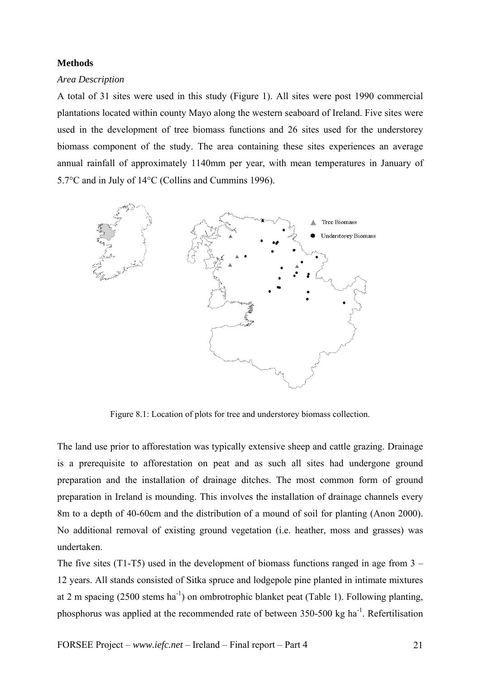### **Methods**

### *Area Description*

A total of 31 sites were used in this study (Figure 1). All sites were post 1990 commercial plantations located within county Mayo along the western seaboard of Ireland. Five sites were used in the development of tree biomass functions and 26 sites used for the understorey biomass component of the study. The area containing these sites experiences an average annual rainfall of approximately 1140mm per year, with mean temperatures in January of 5.7°C and in July of 14°C (Collins and Cummins 1996).



Figure 8.1: Location of plots for tree and understorey biomass collection.

The land use prior to afforestation was typically extensive sheep and cattle grazing. Drainage is a prerequisite to afforestation on peat and as such all sites had undergone ground preparation and the installation of drainage ditches. The most common form of ground preparation in Ireland is mounding. This involves the installation of drainage channels every 8m to a depth of 40-60cm and the distribution of a mound of soil for planting (Anon 2000). No additional removal of existing ground vegetation (i.e. heather, moss and grasses) was undertaken.

The five sites (T1-T5) used in the development of biomass functions ranged in age from  $3 -$ 12 years. All stands consisted of Sitka spruce and lodgepole pine planted in intimate mixtures at 2 m spacing (2500 stems ha<sup>-1</sup>) on ombrotrophic blanket peat (Table 1). Following planting, phosphorus was applied at the recommended rate of between 350-500 kg ha<sup>-1</sup>. Refertilisation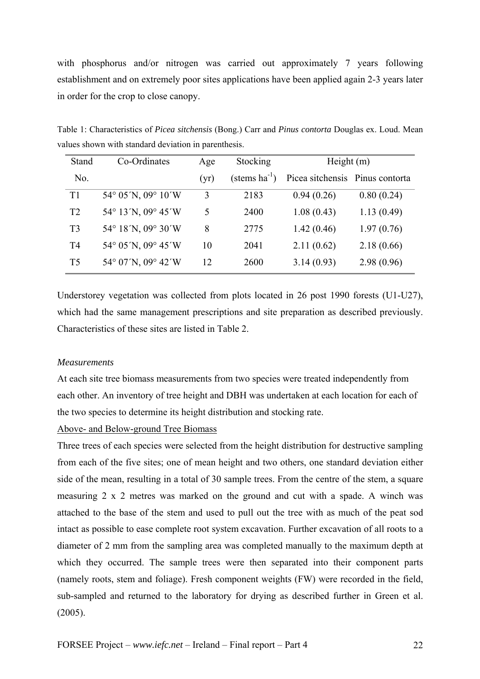with phosphorus and/or nitrogen was carried out approximately 7 years following establishment and on extremely poor sites applications have been applied again 2-3 years later in order for the crop to close canopy.

Table 1: Characteristics of *Picea sitchensis* (Bong.) Carr and *Pinus contorta* Douglas ex. Loud. Mean values shown with standard deviation in parenthesis.

| Stand          | Co-Ordinates                            | Age  | Stocking                 | Height $(m)$                    |            |
|----------------|-----------------------------------------|------|--------------------------|---------------------------------|------------|
| No.            |                                         | (yr) | $(\text{stems ha}^{-1})$ | Picea sitchensis Pinus contorta |            |
| T1             | $54^{\circ}$ 05 'N, 09 $^{\circ}$ 10 'W | 3    | 2183                     | 0.94(0.26)                      | 0.80(0.24) |
| T <sub>2</sub> | 54° 13′N, 09° 45′W                      | 5    | 2400                     | 1.08(0.43)                      | 1.13(0.49) |
| T <sub>3</sub> | 54° 18'N, 09° 30'W                      | 8    | 2775                     | 1.42(0.46)                      | 1.97(0.76) |
| T4             | 54° 05'N, 09° 45'W                      | 10   | 2041                     | 2.11(0.62)                      | 2.18(0.66) |
| T <sub>5</sub> | 54° 07'N, 09° 42'W                      | 12   | 2600                     | 3.14(0.93)                      | 2.98(0.96) |

Understorey vegetation was collected from plots located in 26 post 1990 forests (U1-U27), which had the same management prescriptions and site preparation as described previously. Characteristics of these sites are listed in Table 2.

### *Measurements*

At each site tree biomass measurements from two species were treated independently from each other. An inventory of tree height and DBH was undertaken at each location for each of the two species to determine its height distribution and stocking rate.

### Above- and Below-ground Tree Biomass

Three trees of each species were selected from the height distribution for destructive sampling from each of the five sites; one of mean height and two others, one standard deviation either side of the mean, resulting in a total of 30 sample trees. From the centre of the stem, a square measuring 2 x 2 metres was marked on the ground and cut with a spade. A winch was attached to the base of the stem and used to pull out the tree with as much of the peat sod intact as possible to ease complete root system excavation. Further excavation of all roots to a diameter of 2 mm from the sampling area was completed manually to the maximum depth at which they occurred. The sample trees were then separated into their component parts (namely roots, stem and foliage). Fresh component weights (FW) were recorded in the field, sub-sampled and returned to the laboratory for drying as described further in Green et al. (2005).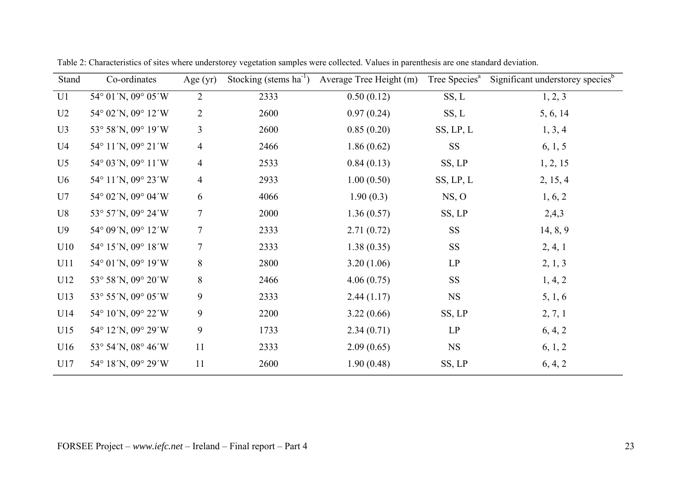| Stand          | Co-ordinates         | Age $(yr)$     | Stocking (stems $ha^{-1}$ ) | Average Tree Height (m) | Tree Species <sup>a</sup> | Significant understorey species <sup>b</sup> |
|----------------|----------------------|----------------|-----------------------------|-------------------------|---------------------------|----------------------------------------------|
| U1             | 54° 01'N, 09° 05'W   | $\overline{2}$ | 2333                        | 0.50(0.12)              | SS, L                     | 1, 2, 3                                      |
| U <sub>2</sub> | 54° 02'N, 09° 12'W   | $\overline{2}$ | 2600                        | 0.97(0.24)              | SS, L                     | 5, 6, 14                                     |
| U3             | 53° 58'N, 09° 19'W   | 3              | 2600                        | 0.85(0.20)              | SS, LP, L                 | 1, 3, 4                                      |
| U <sub>4</sub> | 54° 11'N, 09° 21'W   | $\overline{4}$ | 2466                        | 1.86(0.62)              | <b>SS</b>                 | 6, 1, 5                                      |
| U <sub>5</sub> | 54° 03′ N, 09° 11′ W | $\overline{4}$ | 2533                        | 0.84(0.13)              | SS, LP                    | 1, 2, 15                                     |
| U <sub>6</sub> | 54° 11'N, 09° 23'W   | $\overline{4}$ | 2933                        | 1.00(0.50)              | SS, LP, L                 | 2, 15, 4                                     |
| U7             | 54° 02′N, 09° 04′W   | 6              | 4066                        | 1.90(0.3)               | NS, O                     | 1, 6, 2                                      |
| U8             | 53° 57'N, 09° 24'W   | 7              | 2000                        | 1.36(0.57)              | SS, LP                    | 2,4,3                                        |
| U <sub>9</sub> | 54° 09'N, 09° 12'W   | $\tau$         | 2333                        | 2.71(0.72)              | <b>SS</b>                 | 14, 8, 9                                     |
| U10            | 54° 15'N, 09° 18'W   | $\tau$         | 2333                        | 1.38(0.35)              | <b>SS</b>                 | 2, 4, 1                                      |
| U11            | 54° 01'N, 09° 19'W   | 8              | 2800                        | 3.20(1.06)              | LP                        | 2, 1, 3                                      |
| U12            | 53° 58'N, 09° 20'W   | 8              | 2466                        | 4.06(0.75)              | <b>SS</b>                 | 1, 4, 2                                      |
| U13            | 53° 55′N, 09° 05′W   | 9              | 2333                        | 2.44(1.17)              | <b>NS</b>                 | 5, 1, 6                                      |
| U14            | 54° 10'N, 09° 22'W   | 9              | 2200                        | 3.22(0.66)              | SS, LP                    | 2, 7, 1                                      |
| U15            | 54° 12'N, 09° 29'W   | 9              | 1733                        | 2.34(0.71)              | LP                        | 6, 4, 2                                      |
| U16            | 53° 54′N, 08° 46′W   | 11             | 2333                        | 2.09(0.65)              | <b>NS</b>                 | 6, 1, 2                                      |
| U17            | 54° 18'N, 09° 29'W   | 11             | 2600                        | 1.90(0.48)              | SS, LP                    | 6, 4, 2                                      |

Table 2: Characteristics of sites where understorey vegetation samples were collected. Values in parenthesis are one standard deviation.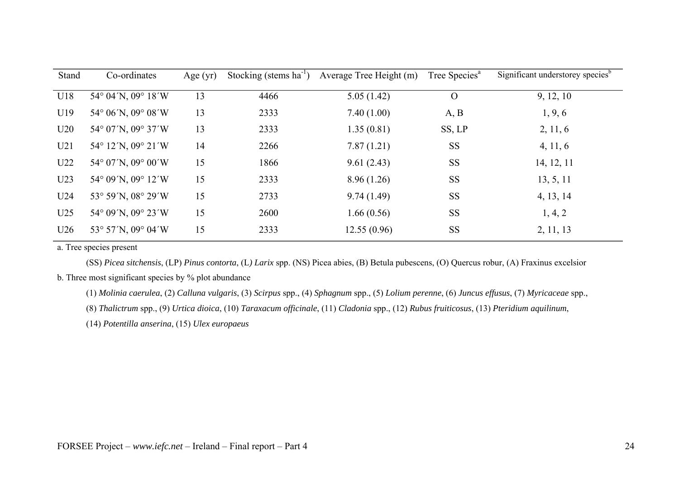| Stand           | Co-ordinates       | Age $(yr)$ |      | Stocking (stems $ha^{-1}$ ) Average Tree Height (m) | Tree Species <sup>a</sup> | Significant understorey species <sup>b</sup> |
|-----------------|--------------------|------------|------|-----------------------------------------------------|---------------------------|----------------------------------------------|
| U18             | 54° 04'N, 09° 18'W | 13         | 4466 | 5.05(1.42)                                          | $\overline{O}$            | 9, 12, 10                                    |
| U19             | 54° 06′N, 09° 08′W | 13         | 2333 | 7.40(1.00)                                          | A, B                      | 1, 9, 6                                      |
| U20             | 54° 07'N, 09° 37'W | 13         | 2333 | 1.35(0.81)                                          | SS, LP                    | 2, 11, 6                                     |
| U21             | 54° 12'N, 09° 21'W | 14         | 2266 | 7.87(1.21)                                          | <b>SS</b>                 | 4, 11, 6                                     |
| U <sub>22</sub> | 54° 07'N, 09° 00'W | 15         | 1866 | 9.61(2.43)                                          | <b>SS</b>                 | 14, 12, 11                                   |
| U <sub>23</sub> | 54° 09′N, 09° 12′W | 15         | 2333 | 8.96(1.26)                                          | <b>SS</b>                 | 13, 5, 11                                    |
| U <sub>24</sub> | 53° 59'N, 08° 29'W | 15         | 2733 | 9.74(1.49)                                          | <b>SS</b>                 | 4, 13, 14                                    |
| U25             | 54° 09′N, 09° 23′W | 15         | 2600 | 1.66(0.56)                                          | <b>SS</b>                 | 1, 4, 2                                      |
| U26             | 53° 57'N, 09° 04'W | 15         | 2333 | 12.55(0.96)                                         | <b>SS</b>                 | 2, 11, 13                                    |

a. Tree species present

(SS) *Picea sitchensis*, (LP) *Pinus contorta*, (L*) Larix* spp. (NS) Picea abies, (B) Betula pubescens, (O) Quercus robur, (A) Fraxinus excelsior b. Three most significant species by % plot abundance

(1) *Molinia caerulea*, (2) *Calluna vulgaris*, (3) *Scirpus* spp., (4) *Sphagnum* spp., (5) *Lolium perenne*, (6) *Juncus effusus*, (7) *Myricaceae* spp.,

(8) *Thalictrum* spp., (9) *Urtica dioica*, (10) *Taraxacum officinale*, (11) *Cladonia* spp., (12) *Rubus fruiticosus*, (13) *Pteridium aquilinum*,

(14) *Potentilla anserina*, (15) *Ulex europaeus*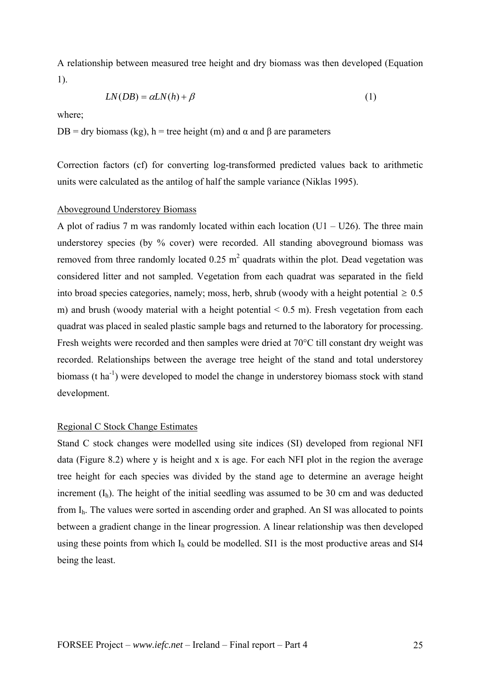A relationship between measured tree height and dry biomass was then developed (Equation 1).

$$
LN(DB) = \alpha LN(h) + \beta
$$
\n(1)

where;

DB = dry biomass (kg), h = tree height (m) and α and β are parameters

Correction factors (cf) for converting log-transformed predicted values back to arithmetic units were calculated as the antilog of half the sample variance (Niklas 1995).

### Aboveground Understorey Biomass

A plot of radius 7 m was randomly located within each location  $(U1 - U26)$ . The three main understorey species (by % cover) were recorded. All standing aboveground biomass was removed from three randomly located  $0.25 \text{ m}^2$  quadrats within the plot. Dead vegetation was considered litter and not sampled. Vegetation from each quadrat was separated in the field into broad species categories, namely; moss, herb, shrub (woody with a height potential  $\geq 0.5$ ) m) and brush (woody material with a height potential  $\leq 0.5$  m). Fresh vegetation from each quadrat was placed in sealed plastic sample bags and returned to the laboratory for processing. Fresh weights were recorded and then samples were dried at 70°C till constant dry weight was recorded. Relationships between the average tree height of the stand and total understorey biomass (t ha<sup>-1</sup>) were developed to model the change in understorey biomass stock with stand development.

#### Regional C Stock Change Estimates

Stand C stock changes were modelled using site indices (SI) developed from regional NFI data (Figure 8.2) where y is height and x is age. For each NFI plot in the region the average tree height for each species was divided by the stand age to determine an average height increment  $(I_h)$ . The height of the initial seedling was assumed to be 30 cm and was deducted from Ih. The values were sorted in ascending order and graphed. An SI was allocated to points between a gradient change in the linear progression. A linear relationship was then developed using these points from which  $I<sub>h</sub>$  could be modelled. SI1 is the most productive areas and SI4 being the least.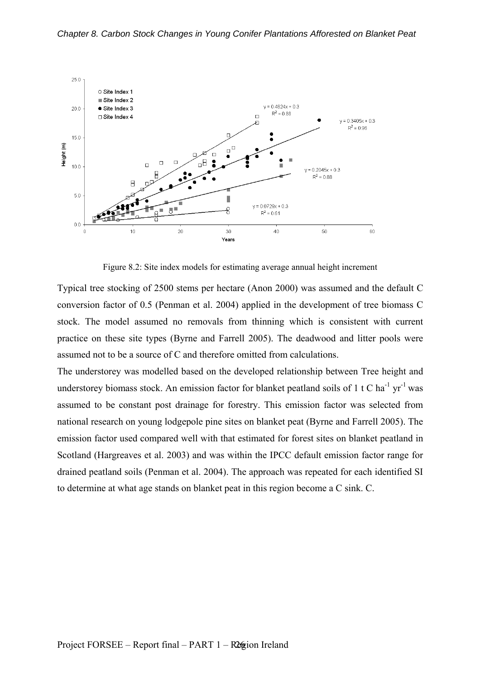

Figure 8.2: Site index models for estimating average annual height increment

Typical tree stocking of 2500 stems per hectare (Anon 2000) was assumed and the default C conversion factor of 0.5 (Penman et al. 2004) applied in the development of tree biomass C stock. The model assumed no removals from thinning which is consistent with current practice on these site types (Byrne and Farrell 2005). The deadwood and litter pools were assumed not to be a source of C and therefore omitted from calculations.

The understorey was modelled based on the developed relationship between Tree height and understorey biomass stock. An emission factor for blanket peatland soils of 1 t C ha<sup>-1</sup> vr<sup>-1</sup> was assumed to be constant post drainage for forestry. This emission factor was selected from national research on young lodgepole pine sites on blanket peat (Byrne and Farrell 2005). The emission factor used compared well with that estimated for forest sites on blanket peatland in Scotland (Hargreaves et al. 2003) and was within the IPCC default emission factor range for drained peatland soils (Penman et al. 2004). The approach was repeated for each identified SI to determine at what age stands on blanket peat in this region become a C sink. C.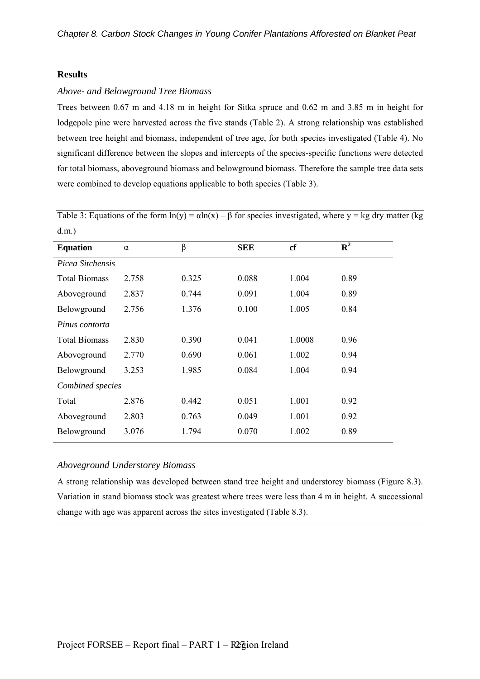### **Results**

#### *Above- and Belowground Tree Biomass*

Trees between 0.67 m and 4.18 m in height for Sitka spruce and 0.62 m and 3.85 m in height for lodgepole pine were harvested across the five stands (Table 2). A strong relationship was established between tree height and biomass, independent of tree age, for both species investigated (Table 4). No significant difference between the slopes and intercepts of the species-specific functions were detected for total biomass, aboveground biomass and belowground biomass. Therefore the sample tree data sets were combined to develop equations applicable to both species (Table 3).

Table 3: Equations of the form  $ln(y) = \alpha ln(x) - \beta$  for species investigated, where y = kg dry matter (kg d.m.)

| <b>Equation</b>      | $\alpha$ | β     | <b>SEE</b> | cf     | $\overline{\mathbf{R}^2}$ |
|----------------------|----------|-------|------------|--------|---------------------------|
| Picea Sitchensis     |          |       |            |        |                           |
| <b>Total Biomass</b> | 2.758    | 0.325 | 0.088      | 1.004  | 0.89                      |
| Aboveground          | 2.837    | 0.744 | 0.091      | 1.004  | 0.89                      |
| Belowground          | 2.756    | 1.376 | 0.100      | 1.005  | 0.84                      |
| Pinus contorta       |          |       |            |        |                           |
| <b>Total Biomass</b> | 2.830    | 0.390 | 0.041      | 1.0008 | 0.96                      |
| Aboveground          | 2.770    | 0.690 | 0.061      | 1.002  | 0.94                      |
| Belowground          | 3.253    | 1.985 | 0.084      | 1.004  | 0.94                      |
| Combined species     |          |       |            |        |                           |
| Total                | 2.876    | 0.442 | 0.051      | 1.001  | 0.92                      |
| Aboveground          | 2.803    | 0.763 | 0.049      | 1.001  | 0.92                      |
| Belowground          | 3.076    | 1.794 | 0.070      | 1.002  | 0.89                      |

### *Aboveground Understorey Biomass*

A strong relationship was developed between stand tree height and understorey biomass (Figure 8.3). Variation in stand biomass stock was greatest where trees were less than 4 m in height. A successional change with age was apparent across the sites investigated (Table 8.3).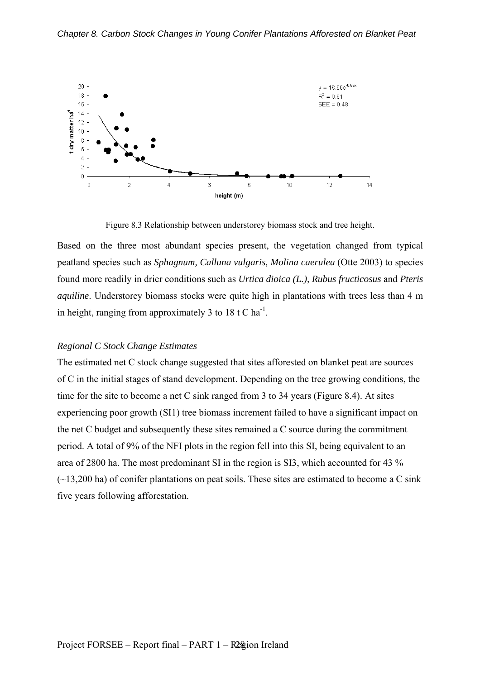

Figure 8.3 Relationship between understorey biomass stock and tree height.

Based on the three most abundant species present, the vegetation changed from typical peatland species such as *Sphagnum, Calluna vulgaris, Molina caerulea* (Otte 2003) to species found more readily in drier conditions such as *Urtica dioica (L.), Rubus fructicosus* and *Pteris aquiline*. Understorey biomass stocks were quite high in plantations with trees less than 4 m in height, ranging from approximately 3 to 18 t C ha<sup>-1</sup>.

### *Regional C Stock Change Estimates*

The estimated net C stock change suggested that sites afforested on blanket peat are sources of C in the initial stages of stand development. Depending on the tree growing conditions, the time for the site to become a net C sink ranged from 3 to 34 years (Figure 8.4). At sites experiencing poor growth (SI1) tree biomass increment failed to have a significant impact on the net C budget and subsequently these sites remained a C source during the commitment period. A total of 9% of the NFI plots in the region fell into this SI, being equivalent to an area of 2800 ha. The most predominant SI in the region is SI3, which accounted for 43 %  $(\sim 13,200 \text{ ha})$  of conifer plantations on peat soils. These sites are estimated to become a C sink five years following afforestation.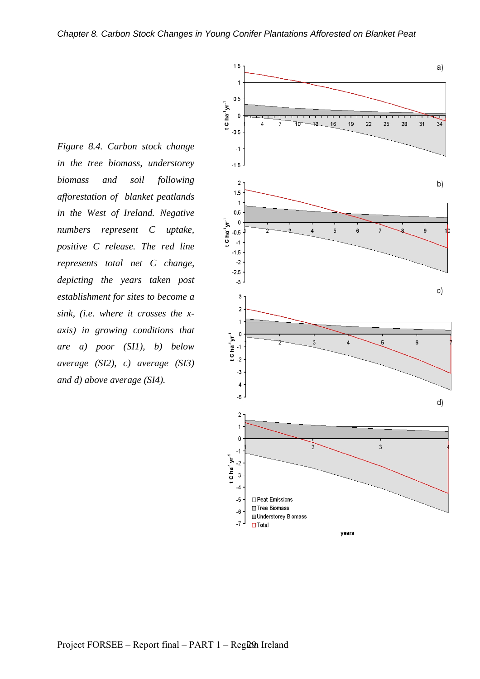*Figure 8.4. Carbon stock change in the tree biomass, understorey biomass and soil following afforestation of blanket peatlands in the West of Ireland. Negative numbers represent C uptake, positive C release. The red line represents total net C change, depicting the years taken post establishment for sites to become a sink, (i.e. where it crosses the xaxis) in growing conditions that are a) poor (SI1), b) below average (SI2), c) average (SI3) and d) above average (SI4).* 

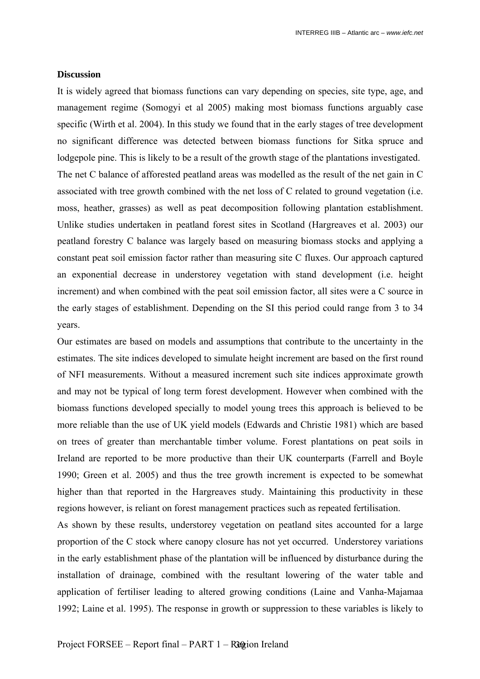### **Discussion**

It is widely agreed that biomass functions can vary depending on species, site type, age, and management regime (Somogyi et al 2005) making most biomass functions arguably case specific (Wirth et al. 2004). In this study we found that in the early stages of tree development no significant difference was detected between biomass functions for Sitka spruce and lodgepole pine. This is likely to be a result of the growth stage of the plantations investigated. The net C balance of afforested peatland areas was modelled as the result of the net gain in C associated with tree growth combined with the net loss of C related to ground vegetation (i.e. moss, heather, grasses) as well as peat decomposition following plantation establishment. Unlike studies undertaken in peatland forest sites in Scotland (Hargreaves et al. 2003) our peatland forestry C balance was largely based on measuring biomass stocks and applying a constant peat soil emission factor rather than measuring site C fluxes. Our approach captured an exponential decrease in understorey vegetation with stand development (i.e. height increment) and when combined with the peat soil emission factor, all sites were a C source in the early stages of establishment. Depending on the SI this period could range from 3 to 34 years.

Our estimates are based on models and assumptions that contribute to the uncertainty in the estimates. The site indices developed to simulate height increment are based on the first round of NFI measurements. Without a measured increment such site indices approximate growth and may not be typical of long term forest development. However when combined with the biomass functions developed specially to model young trees this approach is believed to be more reliable than the use of UK yield models (Edwards and Christie 1981) which are based on trees of greater than merchantable timber volume. Forest plantations on peat soils in Ireland are reported to be more productive than their UK counterparts (Farrell and Boyle 1990; Green et al. 2005) and thus the tree growth increment is expected to be somewhat higher than that reported in the Hargreaves study. Maintaining this productivity in these regions however, is reliant on forest management practices such as repeated fertilisation.

As shown by these results, understorey vegetation on peatland sites accounted for a large proportion of the C stock where canopy closure has not yet occurred. Understorey variations in the early establishment phase of the plantation will be influenced by disturbance during the installation of drainage, combined with the resultant lowering of the water table and application of fertiliser leading to altered growing conditions (Laine and Vanha-Majamaa 1992; Laine et al. 1995). The response in growth or suppression to these variables is likely to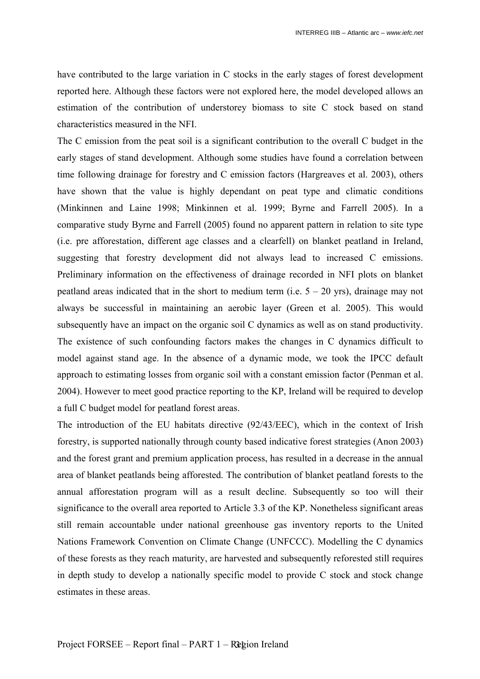have contributed to the large variation in C stocks in the early stages of forest development reported here. Although these factors were not explored here, the model developed allows an estimation of the contribution of understorey biomass to site C stock based on stand characteristics measured in the NFI.

The C emission from the peat soil is a significant contribution to the overall C budget in the early stages of stand development. Although some studies have found a correlation between time following drainage for forestry and C emission factors (Hargreaves et al. 2003), others have shown that the value is highly dependant on peat type and climatic conditions (Minkinnen and Laine 1998; Minkinnen et al. 1999; Byrne and Farrell 2005). In a comparative study Byrne and Farrell (2005) found no apparent pattern in relation to site type (i.e. pre afforestation, different age classes and a clearfell) on blanket peatland in Ireland, suggesting that forestry development did not always lead to increased C emissions. Preliminary information on the effectiveness of drainage recorded in NFI plots on blanket peatland areas indicated that in the short to medium term (i.e.  $5 - 20$  yrs), drainage may not always be successful in maintaining an aerobic layer (Green et al. 2005). This would subsequently have an impact on the organic soil C dynamics as well as on stand productivity. The existence of such confounding factors makes the changes in C dynamics difficult to model against stand age. In the absence of a dynamic mode, we took the IPCC default approach to estimating losses from organic soil with a constant emission factor (Penman et al. 2004). However to meet good practice reporting to the KP, Ireland will be required to develop a full C budget model for peatland forest areas.

The introduction of the EU habitats directive (92/43/EEC), which in the context of Irish forestry, is supported nationally through county based indicative forest strategies (Anon 2003) and the forest grant and premium application process, has resulted in a decrease in the annual area of blanket peatlands being afforested. The contribution of blanket peatland forests to the annual afforestation program will as a result decline. Subsequently so too will their significance to the overall area reported to Article 3.3 of the KP. Nonetheless significant areas still remain accountable under national greenhouse gas inventory reports to the United Nations Framework Convention on Climate Change (UNFCCC). Modelling the C dynamics of these forests as they reach maturity, are harvested and subsequently reforested still requires in depth study to develop a nationally specific model to provide C stock and stock change estimates in these areas.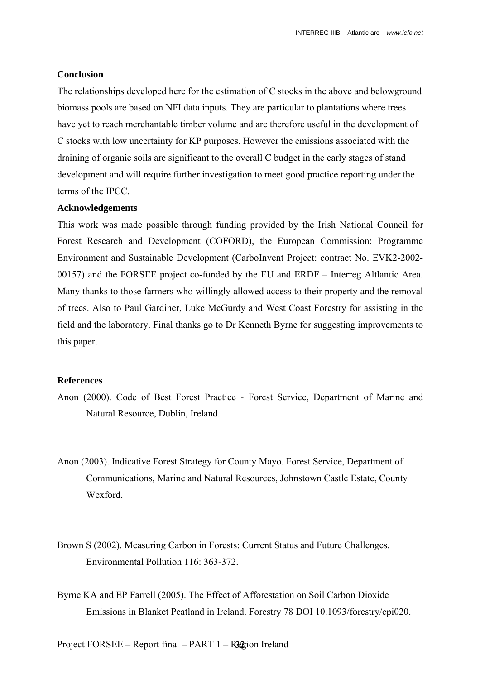### **Conclusion**

The relationships developed here for the estimation of C stocks in the above and belowground biomass pools are based on NFI data inputs. They are particular to plantations where trees have yet to reach merchantable timber volume and are therefore useful in the development of C stocks with low uncertainty for KP purposes. However the emissions associated with the draining of organic soils are significant to the overall C budget in the early stages of stand development and will require further investigation to meet good practice reporting under the terms of the IPCC.

### **Acknowledgements**

This work was made possible through funding provided by the Irish National Council for Forest Research and Development (COFORD), the European Commission: Programme Environment and Sustainable Development (CarboInvent Project: contract No. EVK2-2002- 00157) and the FORSEE project co-funded by the EU and ERDF – Interreg Altlantic Area. Many thanks to those farmers who willingly allowed access to their property and the removal of trees. Also to Paul Gardiner, Luke McGurdy and West Coast Forestry for assisting in the field and the laboratory. Final thanks go to Dr Kenneth Byrne for suggesting improvements to this paper.

#### **References**

- Anon (2000). Code of Best Forest Practice Forest Service, Department of Marine and Natural Resource, Dublin, Ireland.
- Anon (2003). Indicative Forest Strategy for County Mayo. Forest Service, Department of Communications, Marine and Natural Resources, Johnstown Castle Estate, County Wexford.
- Brown S (2002). Measuring Carbon in Forests: Current Status and Future Challenges. Environmental Pollution 116: 363-372.
- Byrne KA and EP Farrell (2005). The Effect of Afforestation on Soil Carbon Dioxide Emissions in Blanket Peatland in Ireland. Forestry 78 DOI 10.1093/forestry/cpi020.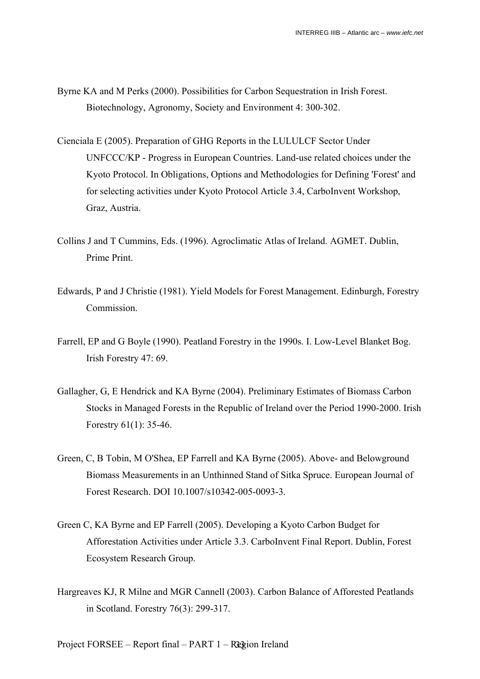- Byrne KA and M Perks (2000). Possibilities for Carbon Sequestration in Irish Forest. Biotechnology, Agronomy, Society and Environment 4: 300-302.
- Cienciala E (2005). Preparation of GHG Reports in the LULULCF Sector Under UNFCCC/KP - Progress in European Countries. Land-use related choices under the Kyoto Protocol. In Obligations, Options and Methodologies for Defining 'Forest' and for selecting activities under Kyoto Protocol Article 3.4, CarboInvent Workshop, Graz, Austria.
- Collins J and T Cummins, Eds. (1996). Agroclimatic Atlas of Ireland. AGMET. Dublin, Prime Print.
- Edwards, P and J Christie (1981). Yield Models for Forest Management. Edinburgh, Forestry **Commission**
- Farrell, EP and G Boyle (1990). Peatland Forestry in the 1990s. I. Low-Level Blanket Bog. Irish Forestry 47: 69.
- Gallagher, G, E Hendrick and KA Byrne (2004). Preliminary Estimates of Biomass Carbon Stocks in Managed Forests in the Republic of Ireland over the Period 1990-2000. Irish Forestry 61(1): 35-46.
- Green, C, B Tobin, M O'Shea, EP Farrell and KA Byrne (2005). Above- and Belowground Biomass Measurements in an Unthinned Stand of Sitka Spruce. European Journal of Forest Research. DOI 10.1007/s10342-005-0093-3.
- Green C, KA Byrne and EP Farrell (2005). Developing a Kyoto Carbon Budget for Afforestation Activities under Article 3.3. CarboInvent Final Report. Dublin, Forest Ecosystem Research Group.
- Hargreaves KJ, R Milne and MGR Cannell (2003). Carbon Balance of Afforested Peatlands in Scotland. Forestry 76(3): 299-317.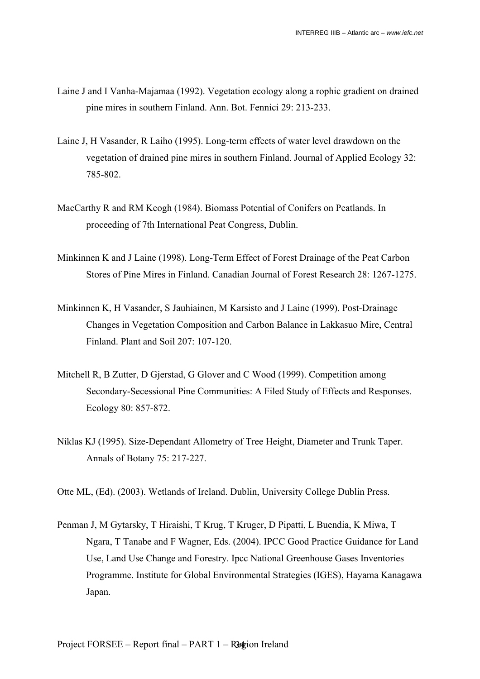- Laine J and I Vanha-Majamaa (1992). Vegetation ecology along a rophic gradient on drained pine mires in southern Finland. Ann. Bot. Fennici 29: 213-233.
- Laine J, H Vasander, R Laiho (1995). Long-term effects of water level drawdown on the vegetation of drained pine mires in southern Finland. Journal of Applied Ecology 32: 785-802.
- MacCarthy R and RM Keogh (1984). Biomass Potential of Conifers on Peatlands. In proceeding of 7th International Peat Congress, Dublin.
- Minkinnen K and J Laine (1998). Long-Term Effect of Forest Drainage of the Peat Carbon Stores of Pine Mires in Finland. Canadian Journal of Forest Research 28: 1267-1275.
- Minkinnen K, H Vasander, S Jauhiainen, M Karsisto and J Laine (1999). Post-Drainage Changes in Vegetation Composition and Carbon Balance in Lakkasuo Mire, Central Finland. Plant and Soil 207: 107-120.
- Mitchell R, B Zutter, D Gjerstad, G Glover and C Wood (1999). Competition among Secondary-Secessional Pine Communities: A Filed Study of Effects and Responses. Ecology 80: 857-872.
- Niklas KJ (1995). Size-Dependant Allometry of Tree Height, Diameter and Trunk Taper. Annals of Botany 75: 217-227.

Otte ML, (Ed). (2003). Wetlands of Ireland. Dublin, University College Dublin Press.

Penman J, M Gytarsky, T Hiraishi, T Krug, T Kruger, D Pipatti, L Buendia, K Miwa, T Ngara, T Tanabe and F Wagner, Eds. (2004). IPCC Good Practice Guidance for Land Use, Land Use Change and Forestry. Ipcc National Greenhouse Gases Inventories Programme. Institute for Global Environmental Strategies (IGES), Hayama Kanagawa Japan.